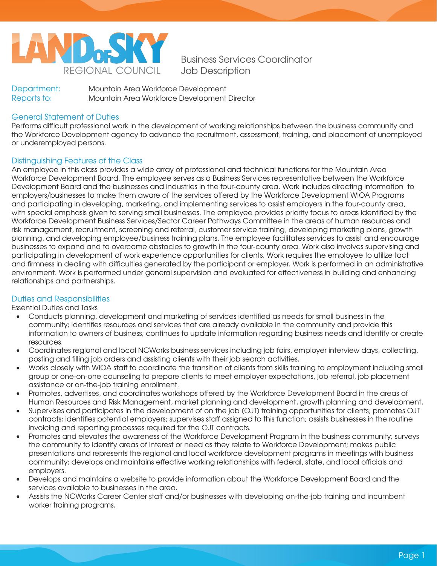

Business Services Coordinator Job Description

Department: Mountain Area Workforce Development Reports to: Mountain Area Workforce Development Director

# General Statement of Duties

Performs difficult professional work in the development of working relationships between the business community and the Workforce Development agency to advance the recruitment, assessment, training, and placement of unemployed or underemployed persons.

## Distinguishing Features of the Class

An employee in this class provides a wide array of professional and technical functions for the Mountain Area Workforce Development Board. The employee serves as a Business Services representative between the Workforce Development Board and the businesses and industries in the four-county area. Work includes directing information to employers/businesses to make them aware of the services offered by the Workforce Development WIOA Programs and participating in developing, marketing, and implementing services to assist employers in the four-county area, with special emphasis given to serving small businesses. The employee provides priority focus to areas identified by the Workforce Development Business Services/Sector Career Pathways Committee in the areas of human resources and risk management, recruitment, screening and referral, customer service training, developing marketing plans, growth planning, and developing employee/business training plans. The employee facilitates services to assist and encourage businesses to expand and to overcome obstacles to growth in the four-county area. Work also involves supervising and participating in development of work experience opportunities for clients. Work requires the employee to utilize tact and firmness in dealing with difficulties generated by the participant or employer. Work is performed in an administrative environment. Work is performed under general supervision and evaluated for effectiveness in building and enhancing relationships and partnerships.

### Duties and Responsibilities

Essential Duties and Tasks

- Conducts planning, development and marketing of services identified as needs for small business in the community; identifies resources and services that are already available in the community and provide this information to owners of business; continues to update information regarding business needs and identify or create resources.
- Coordinates regional and local NCWorks business services including job fairs, employer interview days, collecting, posting and filling job orders and assisting clients with their job search activities.
- Works closely with WIOA staff to coordinate the transition of clients from skills training to employment including small group or one-on-one counseling to prepare clients to meet employer expectations, job referral, job placement assistance or on-the-job training enrollment.
- Promotes, advertises, and coordinates workshops offered by the Workforce Development Board in the areas of Human Resources and Risk Management, market planning and development, growth planning and development.
- Supervises and participates in the development of on the job (OJT) training opportunities for clients; promotes OJT contracts; identifies potential employers; supervises staff assigned to this function; assists businesses in the routine invoicing and reporting processes required for the OJT contracts.
- Promotes and elevates the awareness of the Workforce Development Program in the business community; surveys the community to identify areas of interest or need as they relate to Workforce Development; makes public presentations and represents the regional and local workforce development programs in meetings with business community; develops and maintains effective working relationships with federal, state, and local officials and employers.
- Develops and maintains a website to provide information about the Workforce Development Board and the services available to businesses in the area.
- Assists the NCWorks Career Center staff and/or businesses with developing on-the-job training and incumbent worker training programs.